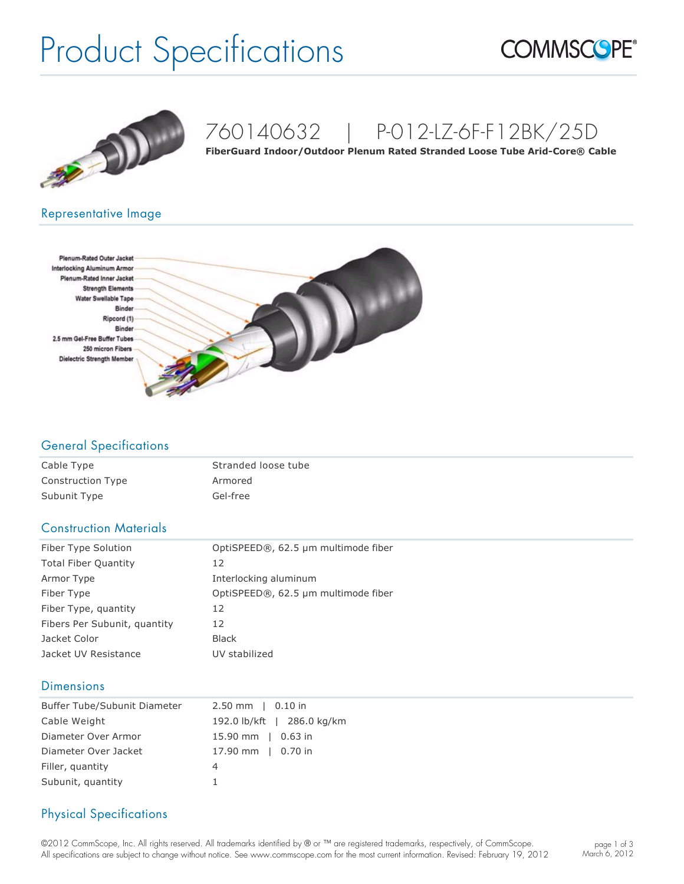# Product Specifications





### 760140632 | P-012-LZ-6F-F12BK/25D

FiberGuard Indoor/Outdoor Plenum Rated Stranded Loose Tube Arid-Core<sup>®</sup> Cable

#### Representative Image



#### General Specifications

| Cable Type               | Stranded loose tube |
|--------------------------|---------------------|
| <b>Construction Type</b> | Armored             |
| Subunit Type             | Gel-free            |

#### Construction Materials

| Fiber Type Solution          | OptiSPEED®, 62.5 µm multimode fiber |  |  |  |  |
|------------------------------|-------------------------------------|--|--|--|--|
| <b>Total Fiber Quantity</b>  | 12                                  |  |  |  |  |
| Armor Type                   | Interlocking aluminum               |  |  |  |  |
| Fiber Type                   | OptiSPEED®, 62.5 µm multimode fiber |  |  |  |  |
| Fiber Type, quantity         | 12                                  |  |  |  |  |
| Fibers Per Subunit, quantity | 12                                  |  |  |  |  |
| Jacket Color                 | <b>Black</b>                        |  |  |  |  |
| Jacket UV Resistance         | UV stabilized                       |  |  |  |  |

#### **Dimensions**

| Buffer Tube/Subunit Diameter | $2.50$ mm $\mid$ 0.10 in   |
|------------------------------|----------------------------|
| Cable Weight                 | 192.0 lb/kft   286.0 kg/km |
| Diameter Over Armor          | 15.90 mm $\vert$ 0.63 in   |
| Diameter Over Jacket         | 17.90 mm   0.70 in         |
| Filler, quantity             | 4                          |
| Subunit, quantity            |                            |

### Physical Specifications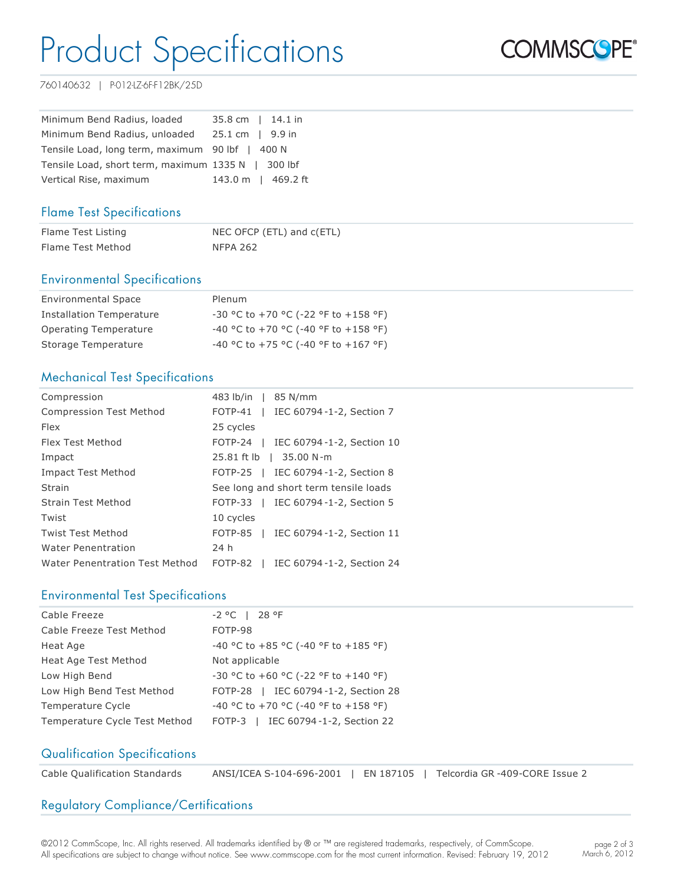### Product Specifications



760140632 | P-012-LZ-6F-F12BK/25D

| Minimum Bend Radius, loaded                        | 35.8 cm   14.1 in          |  |  |  |
|----------------------------------------------------|----------------------------|--|--|--|
| Minimum Bend Radius, unloaded                      | $25.1 \text{ cm}$   9.9 in |  |  |  |
| Tensile Load, long term, maximum 90 lbf   400 N    |                            |  |  |  |
| Tensile Load, short term, maximum 1335 N   300 lbf |                            |  |  |  |
| Vertical Rise, maximum                             | 143.0 m   469.2 ft         |  |  |  |

#### Flame Test Specifications

| Flame Test Listing | NEC OFCP (ETL) and c(ETL) |
|--------------------|---------------------------|
| Flame Test Method  | NFPA 262                  |

#### Environmental Specifications

| <b>Environmental Space</b>      | Plenum                                        |
|---------------------------------|-----------------------------------------------|
| <b>Installation Temperature</b> | $-30$ °C to $+70$ °C ( $-22$ °F to $+158$ °F) |
| Operating Temperature           | $-40$ °C to $+70$ °C (-40 °F to $+158$ °F)    |
| Storage Temperature             | $-40$ °C to $+75$ °C (-40 °F to $+167$ °F)    |

#### Mechanical Test Specifications

| Compression                    | 483 lb/in   85 N/mm                    |
|--------------------------------|----------------------------------------|
| <b>Compression Test Method</b> | FOTP-41   IEC 60794-1-2, Section 7     |
| <b>Flex</b>                    | 25 cycles                              |
| Flex Test Method               | FOTP-24   IEC 60794-1-2, Section 10    |
| Impact                         | 25.81 ft lb   35.00 N-m                |
| Impact Test Method             | FOTP-25   IEC 60794-1-2, Section 8     |
| Strain                         | See long and short term tensile loads  |
| Strain Test Method             | FOTP-33   IEC 60794-1-2, Section 5     |
| Twist                          | 10 cycles                              |
| <b>Twist Test Method</b>       | FOTP-85   IEC 60794-1-2, Section 11    |
| <b>Water Penentration</b>      | 24 h                                   |
| Water Penentration Test Method | FOTP-82  <br>IEC 60794-1-2, Section 24 |

#### Environmental Test Specifications

| Cable Freeze                  | $-2 °C$   28 °F                      |
|-------------------------------|--------------------------------------|
| Cable Freeze Test Method      | FOTP-98                              |
| Heat Age                      | -40 °C to +85 °C (-40 °F to +185 °F) |
| Heat Age Test Method          | Not applicable                       |
| Low High Bend                 | -30 °C to +60 °C (-22 °F to +140 °F) |
| Low High Bend Test Method     | FOTP-28   IEC 60794-1-2, Section 28  |
| Temperature Cycle             | -40 °C to +70 °C (-40 °F to +158 °F) |
| Temperature Cycle Test Method | FOTP-3   IEC 60794-1-2, Section 22   |

#### Qualification Specifications

| Cable Qualification Standards | ANSI/ICEA S-104-696-2001   EN 187105 |  |  |  | Telcordia GR -409-CORE Issue 2 |  |
|-------------------------------|--------------------------------------|--|--|--|--------------------------------|--|
|-------------------------------|--------------------------------------|--|--|--|--------------------------------|--|

#### Regulatory Compliance/Certifications

©2012 CommScope, Inc. All rights reserved. All trademarks identified by ® or ™ are registered trademarks, respectively, of CommScope. All specifications are subject to change without notice. See www.commscope.com for the most current information. Revised: February 19, 2012